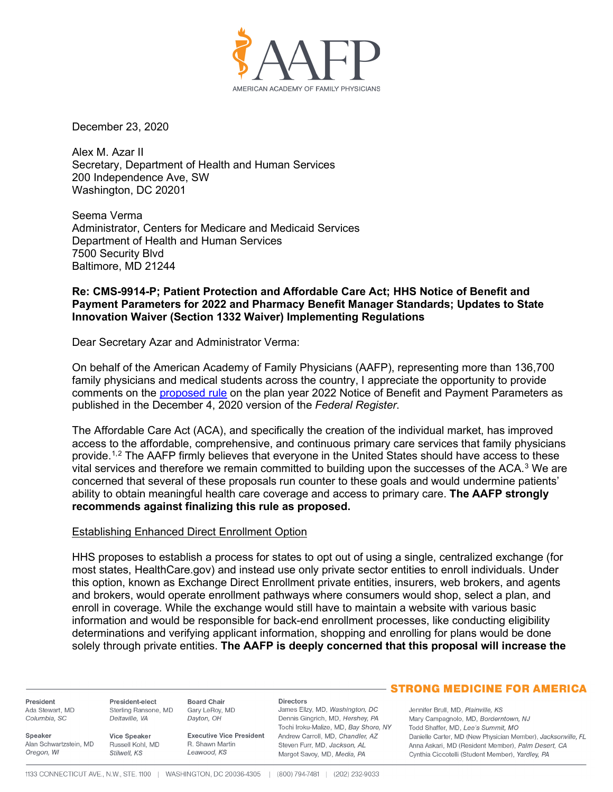

December 23, 2020

Alex M. Azar II Secretary, Department of Health and Human Services 200 Independence Ave, SW Washington, DC 20201

Seema Verma Administrator, Centers for Medicare and Medicaid Services Department of Health and Human Services 7500 Security Blvd Baltimore, MD 21244

## **Re: CMS-9914-P; Patient Protection and Affordable Care Act; HHS Notice of Benefit and Payment Parameters for 2022 and Pharmacy Benefit Manager Standards; Updates to State Innovation Waiver (Section 1332 Waiver) Implementing Regulations**

Dear Secretary Azar and Administrator Verma:

On behalf of the American Academy of Family Physicians (AAFP), representing more than 136,700 family physicians and medical students across the country, I appreciate the opportunity to provide comments on the [proposed rule](https://www.federalregister.gov/documents/2020/12/04/2020-26534/patient-protection-and-affordable-care-act-hhs-notice-of-benefit-and-payment-parameters-for-2022-and) on the plan year 2022 Notice of Benefit and Payment Parameters as published in the December 4, 2020 version of the *Federal Register*.

The Affordable Care Act (ACA), and specifically the creation of the individual market, has improved access to the affordable, comprehensive, and continuous primary care services that family physicians provide.[1](#page-4-0),[2](#page-4-1) The AAFP firmly believes that everyone in the United States should have access to these vital services and therefore we remain committed to building upon the successes of the ACA.<sup>[3](#page-4-2)</sup> We are concerned that several of these proposals run counter to these goals and would undermine patients' ability to obtain meaningful health care coverage and access to primary care. **The AAFP strongly recommends against finalizing this rule as proposed.** 

#### Establishing Enhanced Direct Enrollment Option

HHS proposes to establish a process for states to opt out of using a single, centralized exchange (for most states, HealthCare.gov) and instead use only private sector entities to enroll individuals. Under this option, known as Exchange Direct Enrollment private entities, insurers, web brokers, and agents and brokers, would operate enrollment pathways where consumers would shop, select a plan, and enroll in coverage. While the exchange would still have to maintain a website with various basic information and would be responsible for back-end enrollment processes, like conducting eligibility determinations and verifying applicant information, shopping and enrolling for plans would be done solely through private entities. **The AAFP is deeply concerned that this proposal will increase the** 

President Ada Stewart, MD Columbia, SC

Speaker

President-elect Sterling Ransone, MD Deltaville, VA

Alan Schwartzstein, MD Oregon, WI Stilwell, KS

Vice Speaker Russell Kohl, MD

**Executive Vice President** R. Shawn Martin Leawood, KS

#### **Directors**

James Ellzy, MD, Washington, DC Dennis Gingrich, MD, Hershey, PA Tochi Iroku-Malize, MD, Bay Shore, NY Andrew Carroll, MD, Chandler, AZ Steven Furr, MD, Jackson, AL Margot Savoy, MD, Media, PA

# **- STRONG MEDICINE FOR AMERICA**

Jennifer Brull, MD, Plainville, KS Mary Campagnolo, MD, Borderntown, NJ Todd Shaffer, MD, Lee's Summit, MO Danielle Carter, MD (New Physician Member), Jacksonville, FL Anna Askari, MD (Resident Member), Palm Desert, CA Cynthia Ciccotelli (Student Member), Yardley, PA

**Board Chair** 

Dayton, OH

Gary LeRoy, MD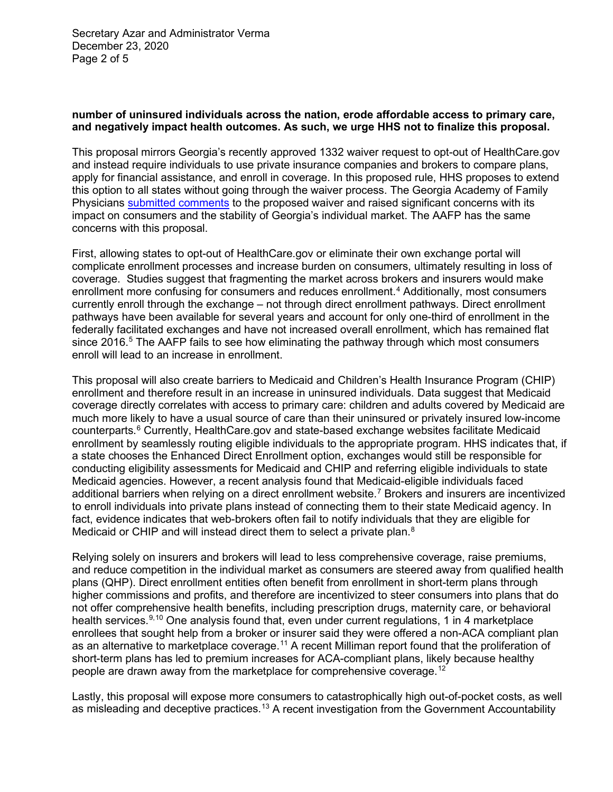Secretary Azar and Administrator Verma December 23, 2020 Page 2 of 5

## **number of uninsured individuals across the nation, erode affordable access to primary care, and negatively impact health outcomes. As such, we urge HHS not to finalize this proposal.**

This proposal mirrors Georgia's recently approved 1332 waiver request to opt-out of HealthCare.gov and instead require individuals to use private insurance companies and brokers to compare plans, apply for financial assistance, and enroll in coverage. In this proposed rule, HHS proposes to extend this option to all states without going through the waiver process. The Georgia Academy of Family Physicians [submitted comments](https://www.gafp.org/wp-content/uploads/2020/01/Final-GAFP-Comments-1332-Medicaid-Proposal.pdf) to the proposed waiver and raised significant concerns with its impact on consumers and the stability of Georgia's individual market. The AAFP has the same concerns with this proposal.

First, allowing states to opt-out of HealthCare.gov or eliminate their own exchange portal will complicate enrollment processes and increase burden on consumers, ultimately resulting in loss of coverage. Studies suggest that fragmenting the market across brokers and insurers would make enrollment more confusing for consumers and reduces enrollment.<sup>[4](#page-4-3)</sup> Additionally, most consumers currently enroll through the exchange – not through direct enrollment pathways. Direct enrollment pathways have been available for several years and account for only one-third of enrollment in the federally facilitated exchanges and have not increased overall enrollment, which has remained flat since  $2016<sup>5</sup>$  $2016<sup>5</sup>$  $2016<sup>5</sup>$  The AAFP fails to see how eliminating the pathway through which most consumers enroll will lead to an increase in enrollment.

This proposal will also create barriers to Medicaid and Children's Health Insurance Program (CHIP) enrollment and therefore result in an increase in uninsured individuals. Data suggest that Medicaid coverage directly correlates with access to primary care: children and adults covered by Medicaid are much more likely to have a usual source of care than their uninsured or privately insured low-income counterparts.[6](#page-4-5) Currently, HealthCare.gov and state-based exchange websites facilitate Medicaid enrollment by seamlessly routing eligible individuals to the appropriate program. HHS indicates that, if a state chooses the Enhanced Direct Enrollment option, exchanges would still be responsible for conducting eligibility assessments for Medicaid and CHIP and referring eligible individuals to state Medicaid agencies. However, a recent analysis found that Medicaid-eligible individuals faced additional barriers when relying on a direct enrollment website.<sup>[7](#page-4-6)</sup> Brokers and insurers are incentivized to enroll individuals into private plans instead of connecting them to their state Medicaid agency. In fact, evidence indicates that web-brokers often fail to notify individuals that they are eligible for Medicaid or CHIP and will instead direct them to select a private plan.<sup>[8](#page-4-7)</sup>

Relying solely on insurers and brokers will lead to less comprehensive coverage, raise premiums, and reduce competition in the individual market as consumers are steered away from qualified health plans (QHP). Direct enrollment entities often benefit from enrollment in short-term plans through higher commissions and profits, and therefore are incentivized to steer consumers into plans that do not offer comprehensive health benefits, including prescription drugs, maternity care, or behavioral health services.<sup>[9,](#page-4-8)[10](#page-4-9)</sup> One analysis found that, even under current regulations, 1 in 4 marketplace enrollees that sought help from a broker or insurer said they were offered a non-ACA compliant plan as an alternative to marketplace coverage.<sup>[11](#page-4-10)</sup> A recent Milliman report found that the proliferation of short-term plans has led to premium increases for ACA-compliant plans, likely because healthy people are drawn away from the marketplace for comprehensive coverage. $^{\rm 12}$  $^{\rm 12}$  $^{\rm 12}$ 

Lastly, this proposal will expose more consumers to catastrophically high out-of-pocket costs, as well as misleading and deceptive practices.<sup>[13](#page-4-12)</sup> A recent investigation from the Government Accountability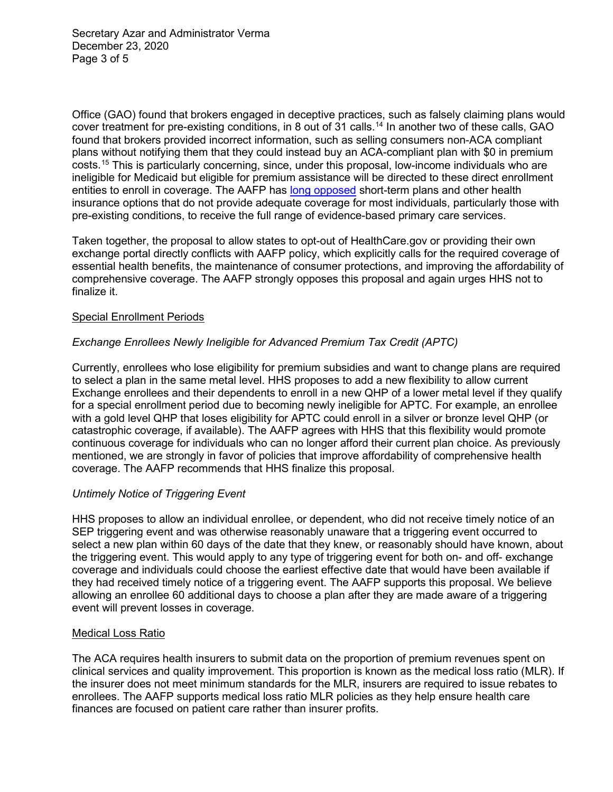Secretary Azar and Administrator Verma December 23, 2020 Page 3 of 5

Office (GAO) found that brokers engaged in deceptive practices, such as falsely claiming plans would cover treatment for pre-existing conditions, in 8 out of 31 calls.<sup>[14](#page-4-13)</sup> In another two of these calls, GAO found that brokers provided incorrect information, such as selling consumers non-ACA compliant plans without notifying them that they could instead buy an ACA-compliant plan with \$0 in premium costs.[15](#page-4-14) This is particularly concerning, since, under this proposal, low-income individuals who are ineligible for Medicaid but eligible for premium assistance will be directed to these direct enrollment entities to enroll in coverage. The AAFP has [long opposed](https://www.aafp.org/dam/AAFP/documents/advocacy/coverage/aca/LT-HHS-ShortDurationPlans-041818.pdf) short-term plans and other health insurance options that do not provide adequate coverage for most individuals, particularly those with pre-existing conditions, to receive the full range of evidence-based primary care services.

Taken together, the proposal to allow states to opt-out of HealthCare.gov or providing their own exchange portal directly conflicts with AAFP policy, which explicitly calls for the required coverage of essential health benefits, the maintenance of consumer protections, and improving the affordability of comprehensive coverage. The AAFP strongly opposes this proposal and again urges HHS not to finalize it.

## Special Enrollment Periods

# *Exchange Enrollees Newly Ineligible for Advanced Premium Tax Credit (APTC)*

Currently, enrollees who lose eligibility for premium subsidies and want to change plans are required to select a plan in the same metal level. HHS proposes to add a new flexibility to allow current Exchange enrollees and their dependents to enroll in a new QHP of a lower metal level if they qualify for a special enrollment period due to becoming newly ineligible for APTC. For example, an enrollee with a gold level QHP that loses eligibility for APTC could enroll in a silver or bronze level QHP (or catastrophic coverage, if available). The AAFP agrees with HHS that this flexibility would promote continuous coverage for individuals who can no longer afford their current plan choice. As previously mentioned, we are strongly in favor of policies that improve affordability of comprehensive health coverage. The AAFP recommends that HHS finalize this proposal.

#### *Untimely Notice of Triggering Event*

HHS proposes to allow an individual enrollee, or dependent, who did not receive timely notice of an SEP triggering event and was otherwise reasonably unaware that a triggering event occurred to select a new plan within 60 days of the date that they knew, or reasonably should have known, about the triggering event. This would apply to any type of triggering event for both on- and off- exchange coverage and individuals could choose the earliest effective date that would have been available if they had received timely notice of a triggering event. The AAFP supports this proposal. We believe allowing an enrollee 60 additional days to choose a plan after they are made aware of a triggering event will prevent losses in coverage.

#### Medical Loss Ratio

The ACA requires health insurers to submit data on the proportion of premium revenues spent on clinical services and quality improvement. This proportion is known as the medical loss ratio (MLR). If the insurer does not meet minimum standards for the MLR, insurers are required to issue rebates to enrollees. The AAFP supports medical loss ratio MLR policies as they help ensure health care finances are focused on patient care rather than insurer profits.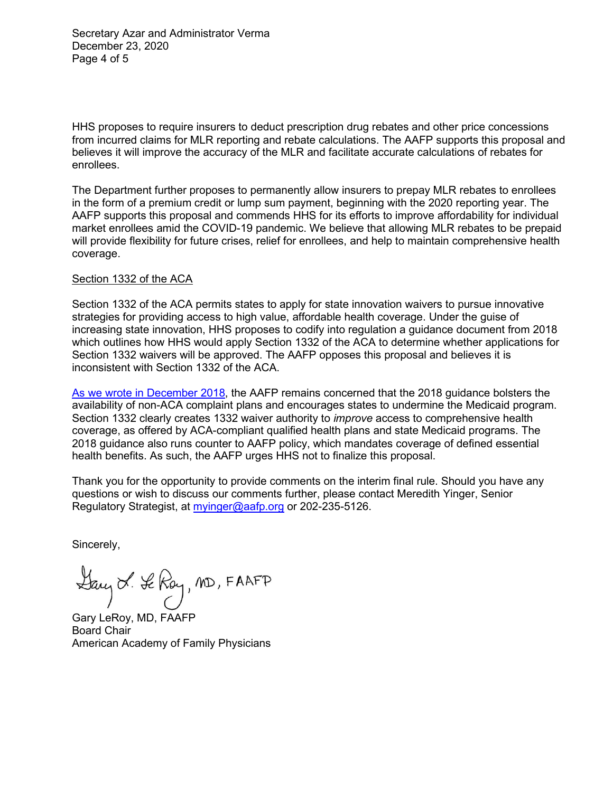Secretary Azar and Administrator Verma December 23, 2020 Page 4 of 5

HHS proposes to require insurers to deduct prescription drug rebates and other price concessions from incurred claims for MLR reporting and rebate calculations. The AAFP supports this proposal and believes it will improve the accuracy of the MLR and facilitate accurate calculations of rebates for enrollees.

The Department further proposes to permanently allow insurers to prepay MLR rebates to enrollees in the form of a premium credit or lump sum payment, beginning with the 2020 reporting year. The AAFP supports this proposal and commends HHS for its efforts to improve affordability for individual market enrollees amid the COVID-19 pandemic. We believe that allowing MLR rebates to be prepaid will provide flexibility for future crises, relief for enrollees, and help to maintain comprehensive health coverage.

## Section 1332 of the ACA

Section 1332 of the ACA permits states to apply for state innovation waivers to pursue innovative strategies for providing access to high value, affordable health coverage. Under the guise of increasing state innovation, HHS proposes to codify into regulation a guidance document from 2018 which outlines how HHS would apply Section 1332 of the ACA to determine whether applications for Section 1332 waivers will be approved. The AAFP opposes this proposal and believes it is inconsistent with Section 1332 of the ACA.

As we wrote [in December 2018,](https://www.aafp.org/dam/AAFP/documents/advocacy/coverage/medicaid/LT-CMS-1332Waivers-121918.pdf) the AAFP remains concerned that the 2018 guidance bolsters the availability of non-ACA complaint plans and encourages states to undermine the Medicaid program. Section 1332 clearly creates 1332 waiver authority to *improve* access to comprehensive health coverage, as offered by ACA-compliant qualified health plans and state Medicaid programs. The 2018 guidance also runs counter to AAFP policy, which mandates coverage of defined essential health benefits. As such, the AAFP urges HHS not to finalize this proposal.

Thank you for the opportunity to provide comments on the interim final rule. Should you have any questions or wish to discuss our comments further, please contact Meredith Yinger, Senior Regulatory Strategist, at [myinger@aafp.org](mailto:myinger@aafp.org) or 202-235-5126.

Sincerely,

Day & Se Roy, MD, FAAFP

Gary LeRoy, MD, FAAFP Board Chair American Academy of Family Physicians